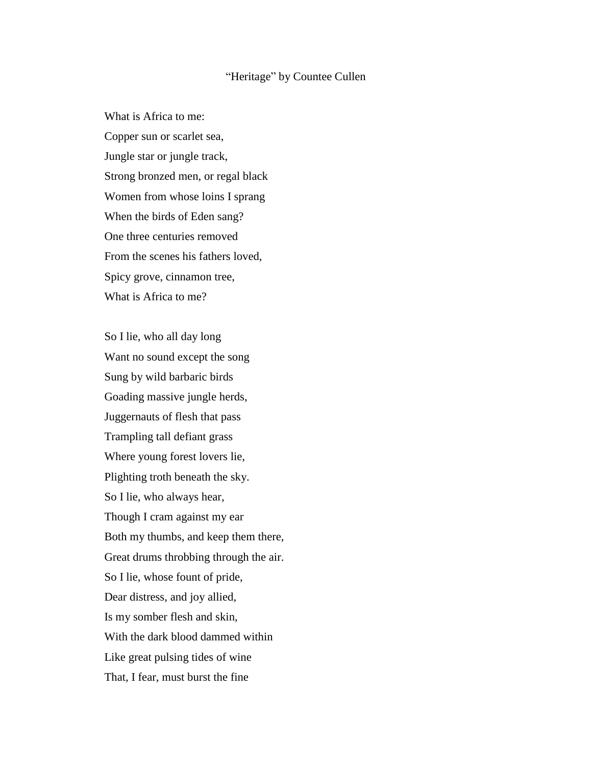## "Heritage" by Countee Cullen

What is Africa to me: Copper sun or scarlet sea, Jungle star or jungle track, Strong bronzed men, or regal black Women from whose loins I sprang When the birds of Eden sang? One three centuries removed From the scenes his fathers loved, Spicy grove, cinnamon tree, What is Africa to me?

So I lie, who all day long Want no sound except the song Sung by wild barbaric birds Goading massive jungle herds, Juggernauts of flesh that pass Trampling tall defiant grass Where young forest lovers lie, Plighting troth beneath the sky. So I lie, who always hear, Though I cram against my ear Both my thumbs, and keep them there, Great drums throbbing through the air. So I lie, whose fount of pride, Dear distress, and joy allied, Is my somber flesh and skin, With the dark blood dammed within Like great pulsing tides of wine That, I fear, must burst the fine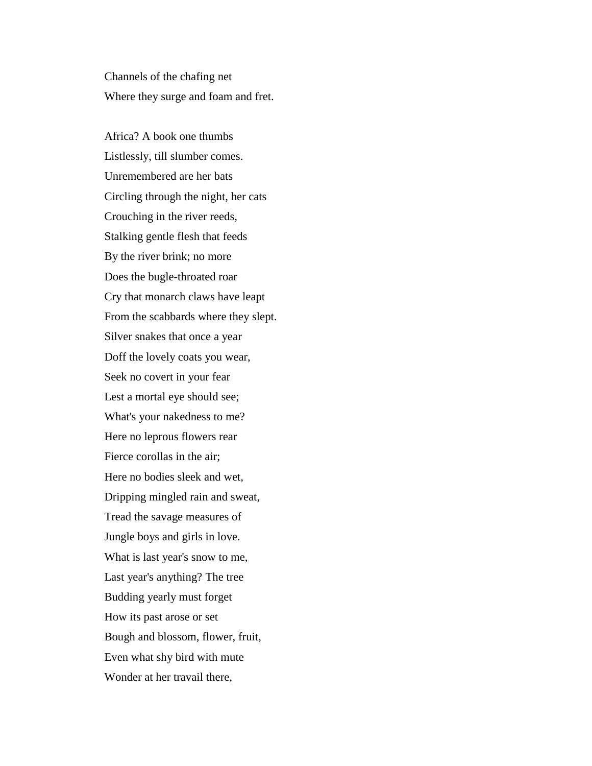Channels of the chafing net Where they surge and foam and fret.

Africa? A book one thumbs Listlessly, till slumber comes. Unremembered are her bats Circling through the night, her cats Crouching in the river reeds, Stalking gentle flesh that feeds By the river brink; no more Does the bugle-throated roar Cry that monarch claws have leapt From the scabbards where they slept. Silver snakes that once a year Doff the lovely coats you wear, Seek no covert in your fear Lest a mortal eye should see; What's your nakedness to me? Here no leprous flowers rear Fierce corollas in the air; Here no bodies sleek and wet, Dripping mingled rain and sweat, Tread the savage measures of Jungle boys and girls in love. What is last year's snow to me, Last year's anything? The tree Budding yearly must forget How its past arose or set Bough and blossom, flower, fruit, Even what shy bird with mute Wonder at her travail there,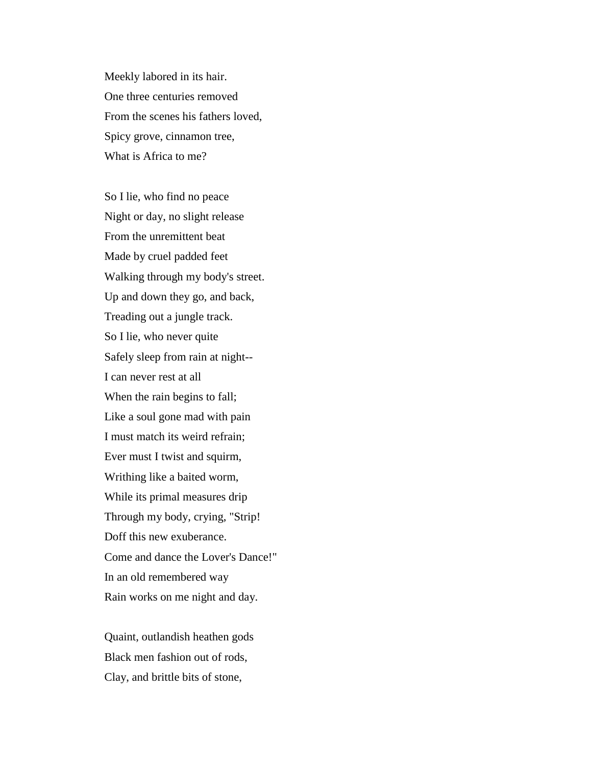Meekly labored in its hair. One three centuries removed From the scenes his fathers loved, Spicy grove, cinnamon tree, What is Africa to me?

So I lie, who find no peace Night or day, no slight release From the unremittent beat Made by cruel padded feet Walking through my body's street. Up and down they go, and back, Treading out a jungle track. So I lie, who never quite Safely sleep from rain at night-- I can never rest at all When the rain begins to fall; Like a soul gone mad with pain I must match its weird refrain; Ever must I twist and squirm, Writhing like a baited worm, While its primal measures drip Through my body, crying, "Strip! Doff this new exuberance. Come and dance the Lover's Dance!" In an old remembered way Rain works on me night and day.

Quaint, outlandish heathen gods Black men fashion out of rods, Clay, and brittle bits of stone,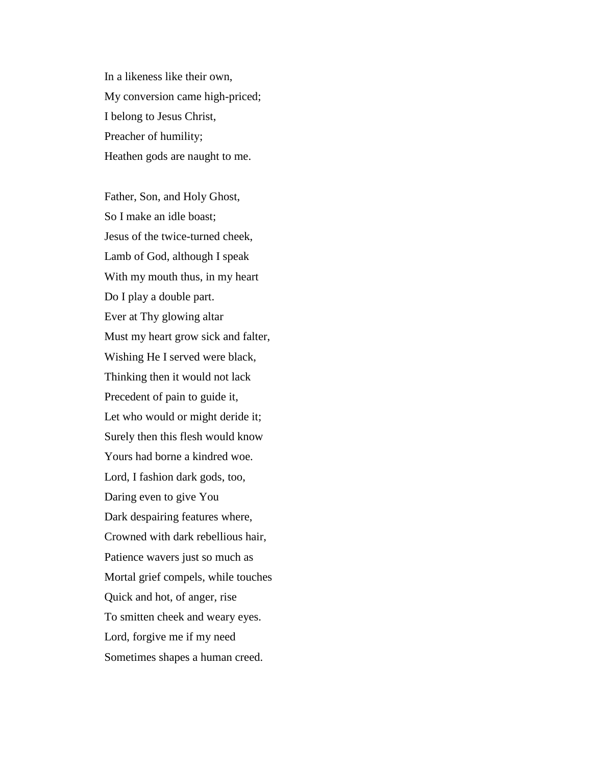In a likeness like their own, My conversion came high-priced; I belong to Jesus Christ, Preacher of humility; Heathen gods are naught to me.

Father, Son, and Holy Ghost, So I make an idle boast; Jesus of the twice-turned cheek, Lamb of God, although I speak With my mouth thus, in my heart Do I play a double part. Ever at Thy glowing altar Must my heart grow sick and falter, Wishing He I served were black, Thinking then it would not lack Precedent of pain to guide it, Let who would or might deride it; Surely then this flesh would know Yours had borne a kindred woe. Lord, I fashion dark gods, too, Daring even to give You Dark despairing features where, Crowned with dark rebellious hair, Patience wavers just so much as Mortal grief compels, while touches Quick and hot, of anger, rise To smitten cheek and weary eyes. Lord, forgive me if my need Sometimes shapes a human creed.